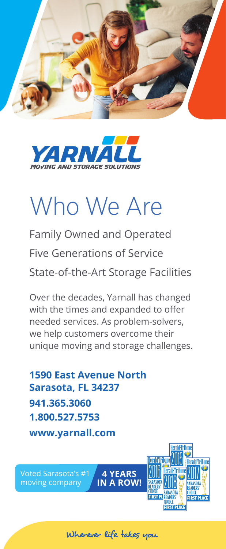



# Who We Are

Family Owned and Operated Five Generations of Service State-of-the-Art Storage Facilities

Over the decades, Yarnall has changed with the times and expanded to offer needed services. As problem-solvers, we help customers overcome their unique moving and storage challenges.

**1590 East Avenue North Sarasota, FL 34237 941.365.3060 1.800.527.5753 www.yarnall.com**

Voted Sarasota's #1 moving company



Wherever life takes you